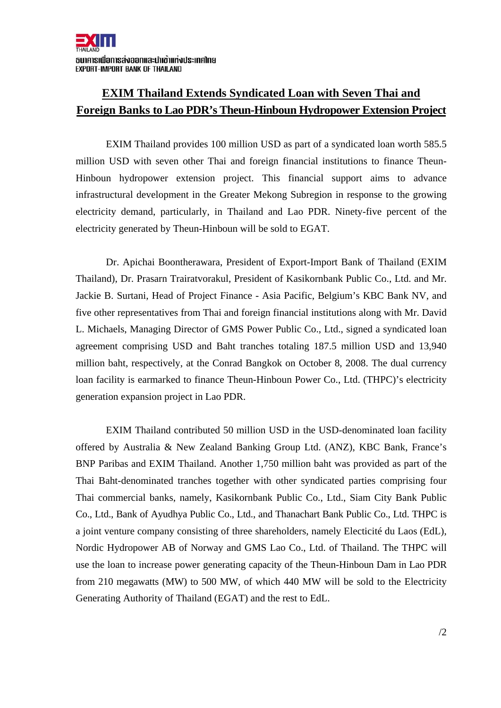## **EXIM Thailand Extends Syndicated Loan with Seven Thai and Foreign Banks to Lao PDR's Theun-Hinboun Hydropower Extension Project**

EXIM Thailand provides 100 million USD as part of a syndicated loan worth 585.5 million USD with seven other Thai and foreign financial institutions to finance Theun-Hinboun hydropower extension project. This financial support aims to advance infrastructural development in the Greater Mekong Subregion in response to the growing electricity demand, particularly, in Thailand and Lao PDR. Ninety-five percent of the electricity generated by Theun-Hinboun will be sold to EGAT.

 Dr. Apichai Boontherawara, President of Export-Import Bank of Thailand (EXIM Thailand), Dr. Prasarn Trairatvorakul, President of Kasikornbank Public Co., Ltd. and Mr. Jackie B. Surtani, Head of Project Finance - Asia Pacific, Belgium's KBC Bank NV, and five other representatives from Thai and foreign financial institutions along with Mr. David L. Michaels, Managing Director of GMS Power Public Co., Ltd., signed a syndicated loan agreement comprising USD and Baht tranches totaling 187.5 million USD and 13,940 million baht, respectively, at the Conrad Bangkok on October 8, 2008. The dual currency loan facility is earmarked to finance Theun-Hinboun Power Co., Ltd. (THPC)'s electricity generation expansion project in Lao PDR.

 EXIM Thailand contributed 50 million USD in the USD-denominated loan facility offered by Australia & New Zealand Banking Group Ltd. (ANZ), KBC Bank, France's BNP Paribas and EXIM Thailand. Another 1,750 million baht was provided as part of the Thai Baht-denominated tranches together with other syndicated parties comprising four Thai commercial banks, namely, Kasikornbank Public Co., Ltd., Siam City Bank Public Co., Ltd., Bank of Ayudhya Public Co., Ltd., and Thanachart Bank Public Co., Ltd. THPC is a joint venture company consisting of three shareholders, namely Electicité du Laos (EdL), Nordic Hydropower AB of Norway and GMS Lao Co., Ltd. of Thailand. The THPC will use the loan to increase power generating capacity of the Theun-Hinboun Dam in Lao PDR from 210 megawatts (MW) to 500 MW, of which 440 MW will be sold to the Electricity Generating Authority of Thailand (EGAT) and the rest to EdL.